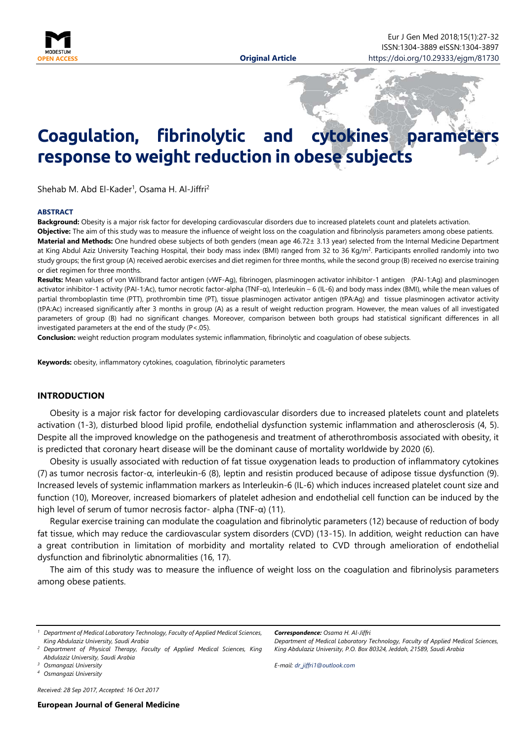

# **Coagulation, fibrinolytic and cytokines parameters response to weight reduction in obese subjects**

Shehab M. Abd El-Kader<sup>1</sup>, Osama H. Al-Jiffri<sup>2</sup>

#### <span id="page-0-0"></span>**ABSTRACT**

**Background:** Obesity is a major risk factor for developing cardiovascular disorders due to increased platelets count and platelets activation. **Objective:** The aim of this study was to measure the influence of weight loss on the coagulation and fibrinolysis parameters among obese patients. **Material and Methods:** One hundred obese subjects of both genders (mean age 46.72± 3.13 year) selected from the Internal Medicine Department at King Abdul Aziz University Teaching Hospital, their body mass index (BMI) ranged from 32 to 36 Kg/m<sup>2</sup>. Participants enrolled randomly into two study groups; the first group (A) received aerobic exercises and diet regimen for three months, while the second group (B) received no exercise training or diet regimen for three months.

**Results:** Mean values of von Willbrand factor antigen (vWF-Ag), fibrinogen, plasminogen activator inhibitor-1 antigen (PAI-1:Ag) and plasminogen activator inhibitor-1 activity (PAI-1:Ac), tumor necrotic factor-alpha (TNF-α), Interleukin – 6 (IL-6) and body mass index (BMI), while the mean values of partial thromboplastin time (PTT), prothrombin time (PT), tissue plasminogen activator antigen (tPA:Ag) and tissue plasminogen activator activity (tPA:Ac) increased significantly after 3 months in group (A) as a result of weight reduction program. However, the mean values of all investigated parameters of group (B) had no significant changes. Moreover, comparison between both groups had statistical significant differences in all investigated parameters at the end of the study (P<.05).

**Conclusion:** weight reduction program modulates systemic inflammation, fibrinolytic and coagulation of obese subjects.

**Keywords:** obesity, inflammatory cytokines, coagulation, fibrinolytic parameters

#### **INTRODUCTION**

Obesity is a major risk factor for developing cardiovascular disorders due to increased platelets count and platelets activation (1-3), disturbed blood lipid profile, endothelial dysfunction systemic inflammation and atherosclerosis (4, 5). Despite all the improved knowledge on the pathogenesis and treatment of atherothrombosis associated with obesity, it is predicted that coronary heart disease will be the dominant cause of mortality worldwide by 2020 (6).

Obesity is usually associated with reduction of fat tissue oxygenation leads to production of inflammatory cytokines (7) as tumor necrosis factor-α, interleukin-6 (8), leptin and resistin produced because of adipose tissue dysfunction (9). Increased levels of systemic inflammation markers as Interleukin-6 (IL-6) which induces increased platelet count size and function (10), Moreover, increased biomarkers of platelet adhesion and endothelial cell function can be induced by the high level of serum of tumor necrosis factor- alpha (TNF- $\alpha$ ) (11).

Regular exercise training can modulate the coagulation and fibrinolytic parameters (12) because of reduction of body fat tissue, which may reduce the cardiovascular system disorders (CVD) (13-15). In addition, weight reduction can have a great contribution in limitation of morbidity and mortality related to CVD through amelioration of endothelial dysfunction and fibrinolytic abnormalities (16, 17).

The aim of this study was to measure the influence of weight loss on the coagulation and fibrinolysis parameters among obese patients.

*Received: 28 Sep 2017, Accepted: 16 Oct 2017*

*Correspondence: Osama H. Al-Jiffri Department of Medical Laboratory Technology, Faculty of Applied Medical Sciences, King Abdulaziz University, P.O. Box 80324, Jeddah, 21589, Saudi Arabia*

*E-mail: [dr\\_jiffri1@outlook.com](mailto:dr_jiffri1@outlook.com)*

*<sup>1</sup> Department of Medical Laboratory Technology, Faculty of Applied Medical Sciences, King Abdulaziz University, Saudi Arabia*

*<sup>2</sup> Department of Physical Therapy, Faculty of Applied Medical Sciences, King Abdulaziz University, Saudi Arabia*

*<sup>3</sup> Osmangazi University*

*<sup>4</sup> Osmangazi University*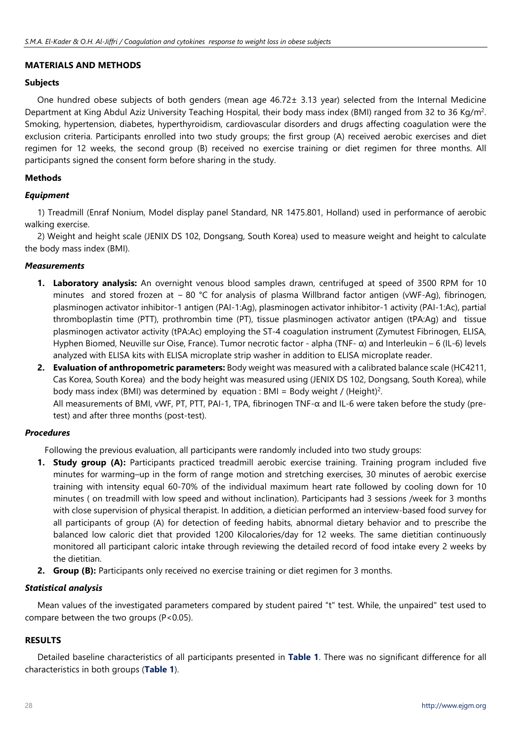## **MATERIALS AND METHODS**

## **Subjects**

One hundred obese subjects of both genders (mean age 46.72± 3.13 year) selected from the Internal Medicine Department at King Abdul Aziz University Teaching Hospital, their body mass index (BMI) ranged from 32 to 36 Kg/m2. Smoking, hypertension, diabetes, hyperthyroidism, cardiovascular disorders and drugs affecting coagulation were the exclusion criteria. Participants enrolled into two study groups; the first group (A) received aerobic exercises and diet regimen for 12 weeks, the second group (B) received no exercise training or diet regimen for three months. All participants signed the consent form before sharing in the study.

## **Methods**

## *Equipment*

1) Treadmill (Enraf Nonium, Model display panel Standard, NR 1475.801, Holland) used in performance of aerobic walking exercise.

2) Weight and height scale (JENIX DS 102, Dongsang, South Korea) used to measure weight and height to calculate the body mass index (BMI).

## *Measurements*

- **1. Laboratory analysis:** An overnight venous blood samples drawn, centrifuged at speed of 3500 RPM for 10 minutes and stored frozen at − 80 °C for analysis of plasma Willbrand factor antigen (vWF-Ag), fibrinogen, plasminogen activator inhibitor-1 antigen (PAI-1:Ag), plasminogen activator inhibitor-1 activity (PAI-1:Ac), partial thromboplastin time (PTT), prothrombin time (PT), tissue plasminogen activator antigen (tPA:Ag) and tissue plasminogen activator activity (tPA:Ac) employing the ST-4 coagulation instrument (Zymutest Fibrinogen, ELISA, Hyphen Biomed, Neuville sur Oise, France). Tumor necrotic factor - alpha (TNF- α) and Interleukin – 6 (IL-6) levels analyzed with ELISA kits with ELISA microplate strip washer in addition to ELISA microplate reader.
- **2. Evaluation of anthropometric parameters:** Body weight was measured with a calibrated balance scale (HC4211, Cas Korea, South Korea) and the body height was measured using (JENIX DS 102, Dongsang, South Korea), while body mass index (BMI) was determined by equation : BMI = Body weight / (Height)<sup>2</sup>. All measurements of BMI, vWF, PT, PTT, PAI-1, TPA, fibrinogen TNF-α and IL-6 were taken before the study (pretest) and after three months (post-test).

### *Procedures*

Following the previous evaluation, all participants were randomly included into two study groups:

- **1. Study group (A):** Participants practiced treadmill aerobic exercise training. Training program included five minutes for warming–up in the form of range motion and stretching exercises, 30 minutes of aerobic exercise training with intensity equal 60-70% of the individual maximum heart rate followed by cooling down for 10 minutes ( on treadmill with low speed and without inclination). Participants had 3 sessions /week for 3 months with close supervision of physical therapist. In addition, a dietician performed an interview-based food survey for all participants of group (A) for detection of feeding habits, abnormal dietary behavior and to prescribe the balanced low caloric diet that provided 1200 Kilocalories/day for 12 weeks. The same dietitian continuously monitored all participant caloric intake through reviewing the detailed record of food intake every 2 weeks by the dietitian.
- **2. Group (B):** Participants only received no exercise training or diet regimen for 3 months.

## *Statistical analysis*

Mean values of the investigated parameters compared by student paired "t" test. While, the unpaired" test used to compare between the two groups  $(P<0.05)$ .

## **RESULTS**

Detailed baseline characteristics of all participants presented in **Table 1**. There was no significant difference for all characteristics in both groups (**Table 1**).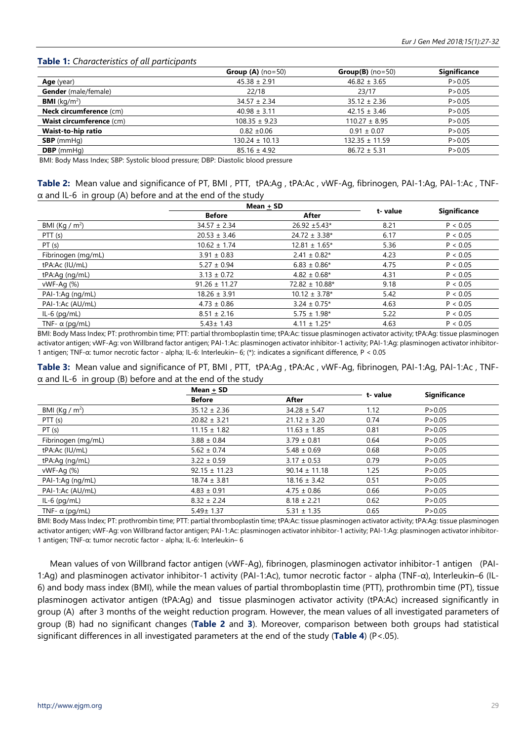### **Table 1:** *Characteristics of all participants*

|                                 | <b>Group (A)</b> $(no=50)$ | $Group(B)$ (no=50) | <b>Significance</b> |
|---------------------------------|----------------------------|--------------------|---------------------|
| <b>Age</b> (year)               | $45.38 \pm 2.91$           | $46.82 \pm 3.65$   | P > 0.05            |
| <b>Gender</b> (male/female)     | 22/18                      | 23/17              | P > 0.05            |
| <b>BMI</b> ( $kq/m^2$ )         | $34.57 \pm 2.34$           | $35.12 \pm 2.36$   | P > 0.05            |
| <b>Neck circumference (cm)</b>  | $40.98 \pm 3.11$           | $42.15 \pm 3.46$   | P > 0.05            |
| <b>Waist circumference (cm)</b> | $108.35 \pm 9.23$          | $110.27 \pm 8.95$  | P > 0.05            |
| <b>Waist-to-hip ratio</b>       | $0.82 \pm 0.06$            | $0.91 \pm 0.07$    | P > 0.05            |
| $SBP$ (mmHg)                    | $130.24 \pm 10.13$         | $132.35 \pm 11.59$ | P > 0.05            |
| $DBP$ (mmHg)                    | $85.16 \pm 4.92$           | $86.72 \pm 5.31$   | P > 0.05            |

BMI: Body Mass Index; SBP: Systolic blood pressure; DBP: Diastolic blood pressure

| Table 2: Mean value and significance of PT, BMI, PTT, tPA:Ag, tPA:Ac, vWF-Ag, fibrinogen, PAI-1:Ag, PAI-1:Ac, TNF- |  |  |  |
|--------------------------------------------------------------------------------------------------------------------|--|--|--|
| $\alpha$ and IL-6 in group (A) before and at the end of the study                                                  |  |  |  |

|                       | Mean + SD         |                    |         |                     |
|-----------------------|-------------------|--------------------|---------|---------------------|
|                       | <b>Before</b>     | After              | t-value | <b>Significance</b> |
| BMI (Kg / $m2$ )      | $34.57 \pm 2.34$  | $26.92 \pm 5.43*$  | 8.21    | P < 0.05            |
| PTT (s)               | $20.53 \pm 3.46$  | $24.72 \pm 3.38*$  | 6.17    | P < 0.05            |
| PT(s)                 | $10.62 \pm 1.74$  | $12.81 \pm 1.65*$  | 5.36    | P < 0.05            |
| Fibrinogen (mg/mL)    | $3.91 \pm 0.83$   | $2.41 \pm 0.82*$   | 4.23    | P < 0.05            |
| tPA:Ac (IU/mL)        | $5.27 \pm 0.94$   | $6.83 \pm 0.86*$   | 4.75    | P < 0.05            |
| tPA:Ag (ng/mL)        | $3.13 \pm 0.72$   | $4.82 \pm 0.68$ *  | 4.31    | P < 0.05            |
| vWF-Ag (%)            | $91.26 \pm 11.27$ | $72.82 \pm 10.88*$ | 9.18    | P < 0.05            |
| PAI-1:Ag (ng/mL)      | $18.26 \pm 3.91$  | $10.12 \pm 3.78$ * | 5.42    | P < 0.05            |
| PAI-1:Ac (AU/mL)      | $4.73 \pm 0.86$   | $3.24 \pm 0.75$ *  | 4.63    | P < 0.05            |
| $IL-6$ (pg/mL)        | $8.51 \pm 2.16$   | $5.75 \pm 1.98*$   | 5.22    | P < 0.05            |
| TNF- $\alpha$ (pg/mL) | $5.43 \pm 1.43$   | $4.11 \pm 1.25$ *  | 4.63    | P < 0.05            |

BMI: Body Mass Index; PT: prothrombin time; PTT: partial thromboplastin time; tPA:Ac: tissue plasminogen activator activity; tPA:Ag: tissue plasminogen activator antigen; vWF-Ag: von Willbrand factor antigen; PAI-1:Ac: plasminogen activator inhibitor-1 activity; PAI-1:Ag: plasminogen activator inhibitor-1 antigen; TNF-α: tumor necrotic factor - alpha; IL-6: Interleukin– 6; (\*): indicates a significant difference, P < 0.05

**Table 3:** Mean value and significance of PT, BMI , PTT, tPA:Ag , tPA:Ac , vWF-Ag, fibrinogen, PAI-1:Ag, PAI-1:Ac , TNF- $\alpha$  and IL-6 in group (B) before and at the end of the study

|                       | Mean + SD         |                   |         |                     |  |
|-----------------------|-------------------|-------------------|---------|---------------------|--|
|                       | <b>Before</b>     | After             | t-value | <b>Significance</b> |  |
| BMI (Kg / $m2$ )      | $35.12 \pm 2.36$  | $34.28 \pm 5.47$  | 1.12    | P > 0.05            |  |
| PTT (s)               | $20.82 \pm 3.21$  | $21.12 \pm 3.20$  | 0.74    | P > 0.05            |  |
| PT(s)                 | $11.15 \pm 1.82$  | $11.63 \pm 1.85$  | 0.81    | P > 0.05            |  |
| Fibrinogen (mg/mL)    | $3.88 \pm 0.84$   | $3.79 \pm 0.81$   | 0.64    | P > 0.05            |  |
| tPA:Ac (IU/mL)        | $5.62 \pm 0.74$   | $5.48 \pm 0.69$   | 0.68    | P > 0.05            |  |
| tPA:Ag (ng/mL)        | $3.22 \pm 0.59$   | $3.17 \pm 0.53$   | 0.79    | P > 0.05            |  |
| vWF-Ag (%)            | $92.15 \pm 11.23$ | $90.14 \pm 11.18$ | 1.25    | P > 0.05            |  |
| PAI-1:Ag (ng/mL)      | $18.74 \pm 3.81$  | $18.16 \pm 3.42$  | 0.51    | P > 0.05            |  |
| PAI-1:Ac (AU/mL)      | $4.83 \pm 0.91$   | $4.75 \pm 0.86$   | 0.66    | P > 0.05            |  |
| $IL-6$ (pg/mL)        | $8.32 \pm 2.24$   | $8.18 \pm 2.21$   | 0.62    | P > 0.05            |  |
| TNF- $\alpha$ (pq/mL) | $5.49 \pm 1.37$   | $5.31 \pm 1.35$   | 0.65    | P > 0.05            |  |

BMI: Body Mass Index; PT: prothrombin time; PTT: partial thromboplastin time; tPA:Ac: tissue plasminogen activator activity; tPA:Ag: tissue plasminogen activator antigen; vWF-Ag: von Willbrand factor antigen; PAI-1:Ac: plasminogen activator inhibitor-1 activity; PAI-1:Ag: plasminogen activator inhibitor-1 antigen; TNF-α: tumor necrotic factor - alpha; IL-6: Interleukin– 6

Mean values of von Willbrand factor antigen (vWF-Ag), fibrinogen, plasminogen activator inhibitor-1 antigen (PAI-1:Ag) and plasminogen activator inhibitor-1 activity (PAI-1:Ac), tumor necrotic factor - alpha (TNF-α), Interleukin–6 (IL-6) and body mass index (BMI), while the mean values of partial thromboplastin time (PTT), prothrombin time (PT), tissue plasminogen activator antigen (tPA:Ag) and tissue plasminogen activator activity (tPA:Ac) increased significantly in group (A) after 3 months of the weight reduction program. However, the mean values of all investigated parameters of group (B) had no significant changes (**Table 2** and **3**). Moreover, comparison between both groups had statistical significant differences in all investigated parameters at the end of the study (**Table 4**) (P<.05).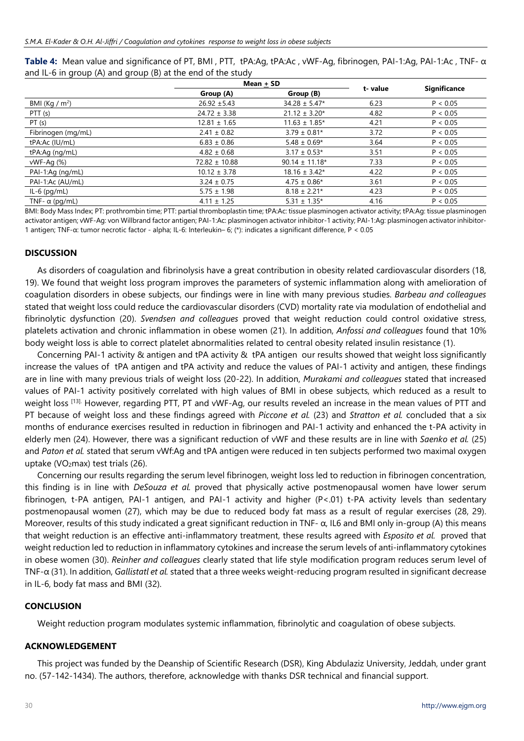**Table 4:** Mean value and significance of PT, BMI , PTT, tPA:Ag, tPA:Ac , vWF-Ag, fibrinogen, PAI-1:Ag, PAI-1:Ac , TNF- α and IL-6 in group (A) and group (B) at the end of the study

|                       | Mean + SD         |                    |         |                     |  |
|-----------------------|-------------------|--------------------|---------|---------------------|--|
|                       | Group (A)         | Group (B)          | t-value | <b>Significance</b> |  |
| BMI (Kg / $m2$ )      | $26.92 \pm 5.43$  | $34.28 \pm 5.47*$  | 6.23    | P < 0.05            |  |
| PTT (s)               | $24.72 \pm 3.38$  | $21.12 \pm 3.20*$  | 4.82    | P < 0.05            |  |
| PT(s)                 | $12.81 \pm 1.65$  | $11.63 \pm 1.85*$  | 4.21    | P < 0.05            |  |
| Fibrinogen (mg/mL)    | $2.41 \pm 0.82$   | $3.79 \pm 0.81*$   | 3.72    | P < 0.05            |  |
| tPA:Ac (IU/mL)        | $6.83 \pm 0.86$   | $5.48 \pm 0.69*$   | 3.64    | P < 0.05            |  |
| $tPA:$ Ag $(nq/mL)$   | $4.82 \pm 0.68$   | $3.17 \pm 0.53*$   | 3.51    | P < 0.05            |  |
| vWF-Ag (%)            | $72.82 \pm 10.88$ | $90.14 \pm 11.18*$ | 7.33    | P < 0.05            |  |
| PAI-1:Ag (ng/mL)      | $10.12 \pm 3.78$  | $18.16 \pm 3.42*$  | 4.22    | P < 0.05            |  |
| PAI-1:Ac (AU/mL)      | $3.24 \pm 0.75$   | $4.75 \pm 0.86*$   | 3.61    | P < 0.05            |  |
| $IL-6$ (pg/mL)        | $5.75 \pm 1.98$   | $8.18 \pm 2.21*$   | 4.23    | P < 0.05            |  |
| TNF- $\alpha$ (pq/mL) | $4.11 \pm 1.25$   | $5.31 \pm 1.35*$   | 4.16    | P < 0.05            |  |

BMI: Body Mass Index; PT: prothrombin time; PTT: partial thromboplastin time; tPA:Ac: tissue plasminogen activator activity; tPA:Ag: tissue plasminogen activator antigen; vWF-Ag: von Willbrand factor antigen; PAI-1:Ac: plasminogen activator inhibitor-1 activity; PAI-1:Ag: plasminogen activator inhibitor-1 antigen; TNF-α: tumor necrotic factor - alpha; IL-6: Interleukin– 6; (\*): indicates a significant difference, P < 0.05

### **DISCUSSION**

As disorders of coagulation and fibrinolysis have a great contribution in obesity related cardiovascular disorders (18, 19). We found that weight loss program improves the parameters of systemic inflammation along with amelioration of coagulation disorders in obese subjects, our findings were in line with many previous studies. *Barbeau and colleagues* stated that weight loss could reduce the cardiovascular disorders (CVD) mortality rate via modulation of endothelial and fibrinolytic dysfunction (20). *Svendsen and colleagues* proved that weight reduction could control oxidative stress, platelets activation and chronic inflammation in obese women (21). In addition, *Anfossi and colleagues* found that 10% body weight loss is able to correct platelet abnormalities related to central obesity related insulin resistance (1).

Concerning PAI-1 activity & antigen and tPA activity & tPA antigen our results showed that weight loss significantly increase the values of tPA antigen and tPA activity and reduce the values of PAI-1 activity and antigen, these findings are in line with many previous trials of weight loss (20-22). In addition, *Murakami and colleagues* stated that increased values of PAI-1 activity positively correlated with high values of BMI in obese subjects, which reduced as a result to weight loss [13]. However, regarding PTT, PT and vWF-Ag, our results reveled an increase in the mean values of PTT and PT because of weight loss and these findings agreed with *Piccone et al.* (23) and *Stratton et al.* concluded that a six months of endurance exercises resulted in reduction in fibrinogen and PAI-1 activity and enhanced the t-PA activity in elderly men (24). However, there was a significant reduction of vWF and these results are in line with *Saenko et al.* (25) and *Paton et al.* stated that serum vWf:Ag and tPA antigen were reduced in ten subjects performed two maximal oxygen uptake (VO2max) test trials (26).

Concerning our results regarding the serum level fibrinogen, weight loss led to reduction in fibrinogen concentration, this finding is in line with *DeSouza et al.* proved that physically active postmenopausal women have lower serum fibrinogen, t-PA antigen, PAI-1 antigen, and PAI-1 activity and higher (P<.01) t-PA activity levels than sedentary postmenopausal women (27), which may be due to reduced body fat mass as a result of regular exercises (28, 29). Moreover, results of this study indicated a great significant reduction in TNF- α, IL6 and BMI only in-group (A) this means that weight reduction is an effective anti-inflammatory treatment, these results agreed with *Esposito et al.* proved that weight reduction led to reduction in inflammatory cytokines and increase the serum levels of anti-inflammatory cytokines in obese women (30). *Reinher and colleagues* clearly stated that life style modification program reduces serum level of TNF-α (31). In addition, *Gallistatl et al.* stated that a three weeks weight-reducing program resulted in significant decrease in IL-6, body fat mass and BMI (32).

### **CONCLUSION**

Weight reduction program modulates systemic inflammation, fibrinolytic and coagulation of obese subjects.

### **ACKNOWLEDGEMENT**

This project was funded by the Deanship of Scientific Research (DSR), King Abdulaziz University, Jeddah, under grant no. (57-142-1434). The authors, therefore, acknowledge with thanks DSR technical and financial support.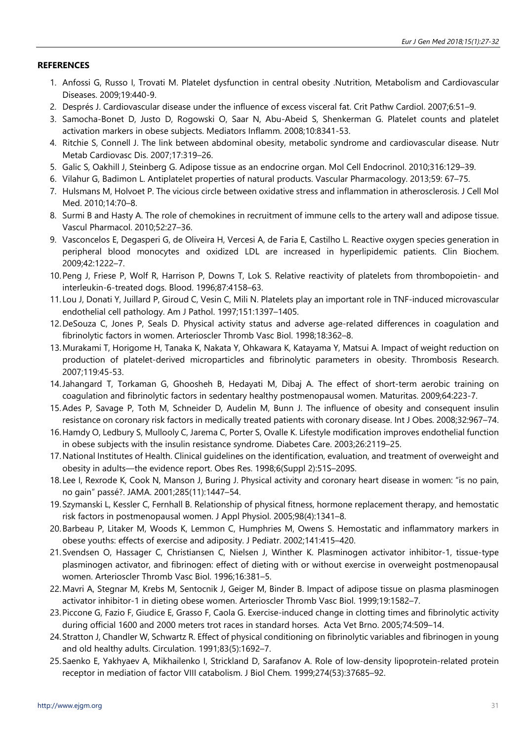## **REFERENCES**

- 1. Anfossi G, Russo I, Trovati M. Platelet dysfunction in central obesity .Nutrition, Metabolism and Cardiovascular Diseases. 2009;19:440-9.
- 2. Després J. Cardiovascular disease under the influence of excess visceral fat. Crit Pathw Cardiol. 2007;6:51–9.
- 3. Samocha-Bonet D, Justo D, Rogowski O, Saar N, Abu-Abeid S, Shenkerman G. Platelet counts and platelet activation markers in obese subjects. Mediators Inflamm. 2008;10:8341-53.
- 4. Ritchie S, Connell J. The link between abdominal obesity, metabolic syndrome and cardiovascular disease. Nutr Metab Cardiovasc Dis. 2007;17:319–26.
- 5. Galic S, Oakhill J, Steinberg G. Adipose tissue as an endocrine organ. Mol Cell Endocrinol. 2010;316:129–39.
- 6. Vilahur G, Badimon L. Antiplatelet properties of natural products. Vascular Pharmacology. 2013;59: 67–75.
- 7. Hulsmans M, Holvoet P. The vicious circle between oxidative stress and inflammation in atherosclerosis. J Cell Mol Med. 2010;14:70–8.
- 8. Surmi B and Hasty A. The role of chemokines in recruitment of immune cells to the artery wall and adipose tissue. Vascul Pharmacol. 2010;52:27–36.
- 9. Vasconcelos E, Degasperi G, de Oliveira H, Vercesi A, de Faria E, Castilho L. Reactive oxygen species generation in peripheral blood monocytes and oxidized LDL are increased in hyperlipidemic patients. Clin Biochem. 2009;42:1222–7.
- 10.Peng J, Friese P, Wolf R, Harrison P, Downs T, Lok S. Relative reactivity of platelets from thrombopoietin- and interleukin-6-treated dogs. Blood. 1996;87:4158–63.
- 11. Lou J, Donati Y, Juillard P, Giroud C, Vesin C, Mili N. Platelets play an important role in TNF-induced microvascular endothelial cell pathology. Am J Pathol. 1997;151:1397–1405.
- 12.DeSouza C, Jones P, Seals D. Physical activity status and adverse age-related differences in coagulation and fibrinolytic factors in women. Arterioscler Thromb Vasc Biol. 1998;18:362–8.
- 13.Murakami T, Horigome H, Tanaka K, Nakata Y, Ohkawara K, Katayama Y, Matsui A. Impact of weight reduction on production of platelet-derived microparticles and fibrinolytic parameters in obesity. Thrombosis Research. 2007;119:45-53.
- 14.Jahangard T, Torkaman G, Ghoosheh B, Hedayati M, Dibaj A. The effect of short-term aerobic training on coagulation and fibrinolytic factors in sedentary healthy postmenopausal women. Maturitas. 2009;64:223-7.
- 15.Ades P, Savage P, Toth M, Schneider D, Audelin M, Bunn J. The influence of obesity and consequent insulin resistance on coronary risk factors in medically treated patients with coronary disease. Int J Obes. 2008;32:967–74.
- 16.Hamdy O, Ledbury S, Mullooly C, Jarema C, Porter S, Ovalle K. Lifestyle modification improves endothelial function in obese subjects with the insulin resistance syndrome. Diabetes Care. 2003;26:2119–25.
- 17.National Institutes of Health. Clinical guidelines on the identification, evaluation, and treatment of overweight and obesity in adults—the evidence report. Obes Res. 1998;6(Suppl 2):51S–209S.
- 18. Lee I, Rexrode K, Cook N, Manson J, Buring J. Physical activity and coronary heart disease in women: "is no pain, no gain" passé?. JAMA. 2001;285(11):1447–54.
- 19.Szymanski L, Kessler C, Fernhall B. Relationship of physical fitness, hormone replacement therapy, and hemostatic risk factors in postmenopausal women. J Appl Physiol. 2005;98(4):1341–8.
- 20.Barbeau P, Litaker M, Woods K, Lemmon C, Humphries M, Owens S. Hemostatic and inflammatory markers in obese youths: effects of exercise and adiposity. J Pediatr. 2002;141:415–420.
- 21.Svendsen O, Hassager C, Christiansen C, Nielsen J, Winther K. Plasminogen activator inhibitor-1, tissue-type plasminogen activator, and fibrinogen: effect of dieting with or without exercise in overweight postmenopausal women. Arterioscler Thromb Vasc Biol. 1996;16:381–5.
- 22.Mavri A, Stegnar M, Krebs M, Sentocnik J, Geiger M, Binder B. Impact of adipose tissue on plasma plasminogen activator inhibitor-1 in dieting obese women. Arterioscler Thromb Vasc Biol. 1999;19:1582–7.
- 23.Piccone G, Fazio F, Giudice E, Grasso F, Caola G. Exercise-induced change in clotting times and fibrinolytic activity during official 1600 and 2000 meters trot races in standard horses. Acta Vet Brno. 2005;74:509–14.
- 24.Stratton J, Chandler W, Schwartz R. Effect of physical conditioning on fibrinolytic variables and fibrinogen in young and old healthy adults. Circulation. 1991;83(5):1692–7.
- 25.Saenko E, Yakhyaev A, Mikhailenko I, Strickland D, Sarafanov A. Role of low-density lipoprotein-related protein receptor in mediation of factor VIII catabolism. J Biol Chem. 1999;274(53):37685–92.